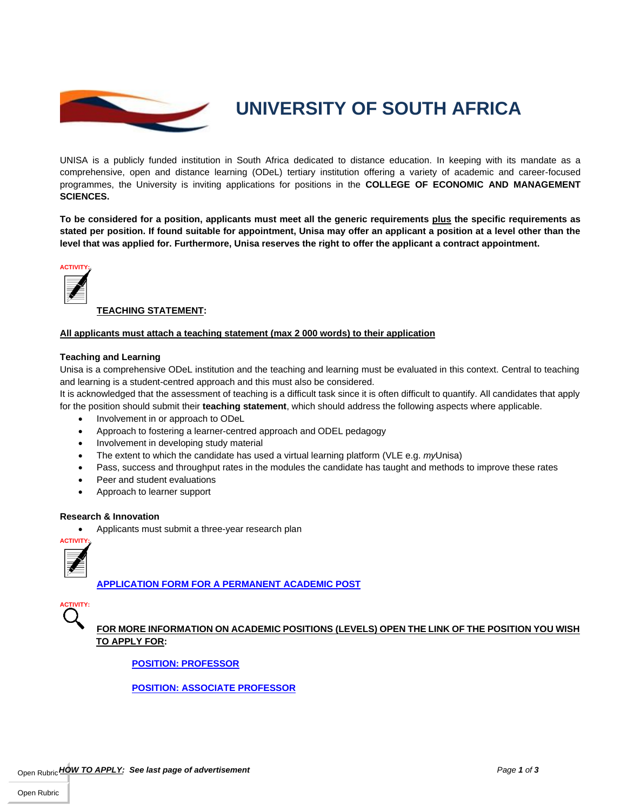

# **UNIVERSITY OF SOUTH AFRICA**

UNISA is a publicly funded institution in South Africa dedicated to distance education. In keeping with its mandate as a comprehensive, open and distance learning (ODeL) tertiary institution offering a variety of academic and career-focused programmes, the University is inviting applications for positions in the **COLLEGE OF ECONOMIC AND MANAGEMENT SCIENCES.**

**To be considered for a position, applicants must meet all the generic requirements plus the specific requirements as stated per position. If found suitable for appointment, Unisa may offer an applicant a position at a level other than the level that was applied for. Furthermore, Unisa reserves the right to offer the applicant a contract appointment.**



# **TEACHING STATEMENT:**

# **All applicants must attach a teaching statement (max 2 000 words) to their application**

# **Teaching and Learning**

Unisa is a comprehensive ODeL institution and the teaching and learning must be evaluated in this context. Central to teaching and learning is a student-centred approach and this must also be considered.

It is acknowledged that the assessment of teaching is a difficult task since it is often difficult to quantify. All candidates that apply for the position should submit their **teaching statement**, which should address the following aspects where applicable.

- Involvement in or approach to ODeL
- Approach to fostering a learner-centred approach and ODEL pedagogy
- Involvement in developing study material
- The extent to which the candidate has used a virtual learning platform (VLE e.g. *my*Unisa)
- Pass, success and throughput rates in the modules the candidate has taught and methods to improve these rates
- Peer and student evaluations
- Approach to learner support

# **Research & Innovation**

• Applicants must submit a three-year research plan



**APPLICATION FORM FOR A PERMANENT ACADEMIC POST**

**ACTIVITY:**

**FOR MORE INFORMATION ON ACADEMIC POSITIONS (LEVELS) OPEN THE LINK OF THE POSITION YOU WISH TO APPLY FOR:**

**POSITION: PROFESSOR**

**POSITION: ASSOCIATE PROFESSOR**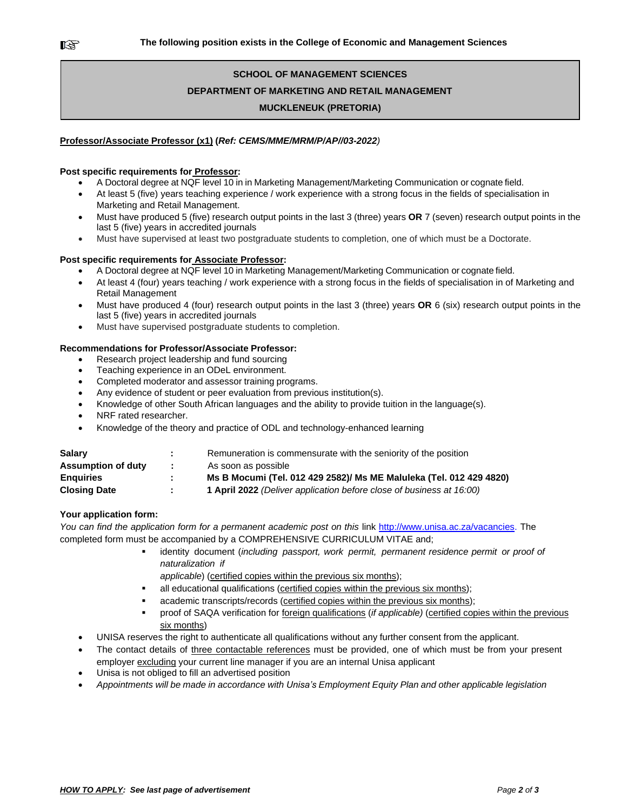# **SCHOOL OF MANAGEMENT SCIENCES DEPARTMENT OF MARKETING AND RETAIL MANAGEMENT MUCKLENEUK (PRETORIA)**

# **Professor/Associate Professor (x1) (***Ref: CEMS/MME/MRM/P/AP//03-2022)*

# **Post specific requirements for Professor:**

- A Doctoral degree at NQF level 10 in in Marketing Management/Marketing Communication or cognate field.
- At least 5 (five) years teaching experience / work experience with a strong focus in the fields of specialisation in Marketing and Retail Management.
- Must have produced 5 (five) research output points in the last 3 (three) years **OR** 7 (seven) research output points in the last 5 (five) years in accredited journals
- Must have supervised at least two postgraduate students to completion, one of which must be a Doctorate.

# **Post specific requirements for Associate Professor:**

- A Doctoral degree at NQF level 10 in Marketing Management/Marketing Communication or cognate field.
- At least 4 (four) years teaching / work experience with a strong focus in the fields of specialisation in of Marketing and Retail Management
- Must have produced 4 (four) research output points in the last 3 (three) years **OR** 6 (six) research output points in the last 5 (five) years in accredited journals
- Must have supervised postgraduate students to completion.

# **Recommendations for Professor/Associate Professor:**

- Research project leadership and fund sourcing
- Teaching experience in an ODeL environment.
- Completed moderator and assessor training programs.
- Any evidence of student or peer evaluation from previous institution(s).
- Knowledge of other South African languages and the ability to provide tuition in the language(s).
- NRF rated researcher.
- Knowledge of the theory and practice of ODL and technology-enhanced learning

| <b>Salary</b>             |      | Remuneration is commensurate with the seniority of the position      |
|---------------------------|------|----------------------------------------------------------------------|
| <b>Assumption of duty</b> |      | As soon as possible                                                  |
| <b>Enguiries</b>          | . н. | Ms B Mocumi (Tel. 012 429 2582)/ Ms ME Maluleka (Tel. 012 429 4820)  |
| <b>Closing Date</b>       |      | 1 April 2022 (Deliver application before close of business at 16:00) |

# **Your application form:**

*You can find the application form for a permanent academic post on this* link http://www.unisa.ac.za/vacancies. The completed form must be accompanied by a COMPREHENSIVE CURRICULUM VITAE and;

- identity document (*including passport, work permit, permanent residence permit or proof of naturalization if*
	- *applicable*) (certified copies within the previous six months);
- all educational qualifications (certified copies within the previous six months);
- academic transcripts/records (certified copies within the previous six months);
- proof of SAQA verification for *foreign qualifications (if applicable)* (*certified copies within the previous* six months)
- UNISA reserves the right to authenticate all qualifications without any further consent from the applicant.
- The contact details of three contactable references must be provided, one of which must be from your present employer excluding your current line manager if you are an internal Unisa applicant
- Unisa is not obliged to fill an advertised position
- *Appointments will be made in accordance with Unisa's Employment Equity Plan and other applicable legislation*

隐